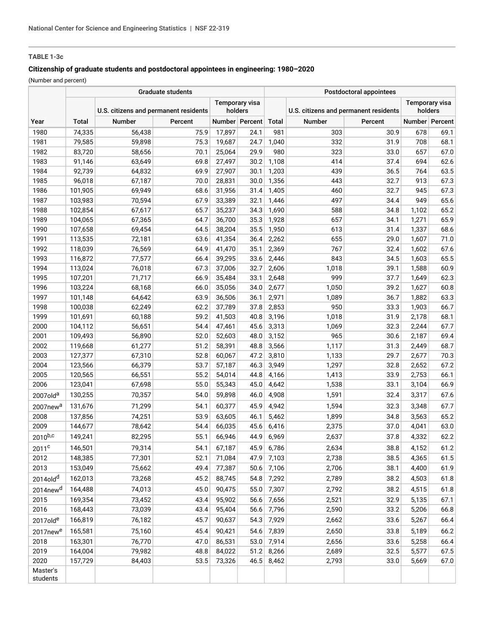# **TABLE 1-3c**

# **Citizenship of graduate students and postdoctoral appointees in engineering: 1980–2020**

(Number and percent)

|                           | <b>Graduate students</b> |                                       |              |                                  |                | Postdoctoral appointees |                                       |              |                                  |                |
|---------------------------|--------------------------|---------------------------------------|--------------|----------------------------------|----------------|-------------------------|---------------------------------------|--------------|----------------------------------|----------------|
|                           |                          | U.S. citizens and permanent residents |              | <b>Temporary visa</b><br>holders |                |                         | U.S. citizens and permanent residents |              | <b>Temporary visa</b><br>holders |                |
| Year                      | <b>Total</b>             | <b>Number</b>                         | Percent      |                                  | Number Percent | Total                   | Number                                | Percent      |                                  | Number Percent |
| 1980                      | 74,335                   | 56,438                                | 75.9         | 17,897                           | 24.1           | 981                     | 303                                   | 30.9         | 678                              | 69.1           |
| 1981                      | 79,585                   | 59,898                                | 75.3         | 19,687                           | 24.7           | 1,040                   | 332                                   | 31.9         | 708                              | 68.1           |
| 1982                      | 83,720                   | 58,656                                | 70.1         | 25,064                           | 29.9           | 980                     | 323                                   | 33.0         | 657                              | 67.0           |
| 1983                      | 91,146                   | 63,649                                | 69.8         | 27,497                           | 30.2           | 1,108                   | 414                                   | 37.4         | 694                              | 62.6           |
| 1984                      | 92,739                   | 64,832                                | 69.9         | 27,907                           | 30.1           | 1,203                   | 439                                   | 36.5         | 764                              | 63.5           |
| 1985                      | 96,018                   | 67,187                                | 70.0         | 28,831                           | 30.0           | 1,356                   | 443                                   | 32.7         | 913                              | 67.3           |
| 1986                      | 101,905                  | 69,949                                | 68.6         | 31,956                           | 31.4           | 1,405                   | 460                                   | 32.7         | 945                              | 67.3           |
| 1987                      | 103,983                  | 70,594                                | 67.9         | 33,389                           | 32.1           | 1,446                   | 497                                   | 34.4         | 949                              | 65.6           |
| 1988                      | 102,854                  | 67,617                                | 65.7         | 35,237                           | 34.3           | 1,690                   | 588                                   | 34.8         | 1,102                            | 65.2           |
| 1989                      | 104,065                  | 67,365                                | 64.7         | 36,700                           | 35.3           | 1,928                   | 657                                   | 34.1         | 1,271                            | 65.9           |
| 1990                      | 107,658                  | 69,454                                | 64.5         | 38,204                           | 35.5           | 1,950                   | 613                                   | 31.4         | 1,337                            | 68.6           |
| 1991                      | 113,535                  | 72,181                                | 63.6         | 41,354                           | 36.4           | 2,262                   | 655                                   | 29.0         | 1,607                            | 71.0           |
| 1992                      | 118,039                  | 76,569                                | 64.9         | 41,470                           | 35.1           | 2,369                   | 767                                   | 32.4         | 1,602                            | 67.6           |
| 1993                      | 116,872                  | 77,577                                | 66.4         | 39,295                           | 33.6           | 2,446                   | 843                                   | 34.5         | 1,603                            | 65.5           |
| 1994                      | 113,024                  | 76,018                                | 67.3         | 37,006                           | 32.7           | 2,606                   | 1,018                                 | 39.1         | 1,588                            | 60.9           |
| 1995                      | 107,201                  | 71,717                                | 66.9         | 35,484                           | 33.1           | 2,648                   | 999                                   | 37.7         | 1,649                            | 62.3           |
| 1996                      | 103,224                  | 68,168                                | 66.0         | 35,056                           | 34.0           | 2,677                   | 1,050                                 | 39.2         | 1,627                            | 60.8           |
| 1997<br>1998              | 101,148<br>100,038       | 64,642                                | 63.9<br>62.2 | 36,506                           | 36.1           | 2,971                   | 1,089<br>950                          | 36.7         | 1,882                            | 63.3<br>66.7   |
| 1999                      | 101,691                  | 62,249<br>60,188                      | 59.2         | 37,789<br>41,503                 | 37.8<br>40.8   | 2,853<br>3,196          | 1,018                                 | 33.3<br>31.9 | 1,903<br>2,178                   | 68.1           |
| 2000                      | 104,112                  | 56,651                                | 54.4         | 47,461                           | 45.6           | 3,313                   | 1,069                                 | 32.3         | 2,244                            | 67.7           |
| 2001                      | 109,493                  | 56,890                                | 52.0         | 52,603                           | 48.0           | 3,152                   | 965                                   | 30.6         | 2,187                            | 69.4           |
| 2002                      | 119,668                  | 61,277                                | 51.2         | 58,391                           | 48.8           | 3,566                   | 1,117                                 | 31.3         | 2,449                            | 68.7           |
| 2003                      | 127,377                  | 67,310                                | 52.8         | 60,067                           | 47.2           | 3,810                   | 1,133                                 | 29.7         | 2,677                            | 70.3           |
| 2004                      | 123,566                  | 66,379                                | 53.7         | 57,187                           | 46.3           | 3,949                   | 1,297                                 | 32.8         | 2,652                            | 67.2           |
| 2005                      | 120,565                  | 66,551                                | 55.2         | 54,014                           | 44.8           | 4,166                   | 1,413                                 | 33.9         | 2,753                            | 66.1           |
| 2006                      | 123,041                  | 67,698                                | 55.0         | 55,343                           | 45.0           | 4,642                   | 1,538                                 | 33.1         | 3,104                            | 66.9           |
| 2007old <sup>a</sup>      | 130,255                  | 70,357                                | 54.0         | 59,898                           | 46.0           | 4,908                   | 1,591                                 | 32.4         | 3,317                            | 67.6           |
| 2007new <sup>a</sup>      | 131,676                  | 71,299                                | 54.1         | 60,377                           | 45.9           | 4,942                   | 1,594                                 | 32.3         | 3,348                            | 67.7           |
| 2008                      | 137,856                  | 74,251                                | 53.9         | 63,605                           | 46.1           | 5,462                   | 1,899                                 | 34.8         | 3,563                            | 65.2           |
| 2009                      | 144,677                  | 78,642                                | 54.4         | 66,035                           | 45.6           | 6,416                   | 2,375                                 | 37.0         | 4,041                            | 63.0           |
| $2010^{b,c}$              | 149,241                  | 82,295                                | 55.1         | 66,946                           | 44.9           | 6,969                   | 2,637                                 | 37.8         | 4,332                            | 62.2           |
|                           | 146,501                  | 79,314                                | 54.1         | 67,187                           | 45.9           | 6,786                   | 2,634                                 | 38.8         | 4,152                            | 61.2           |
| 2011 <sup>c</sup><br>2012 |                          |                                       | 52.1         | 71,084                           | 47.9           |                         |                                       | 38.5         |                                  |                |
| 2013                      | 148,385<br>153,049       | 77,301<br>75,662                      | 49.4         | 77,387                           | 50.6           | 7,103<br>7,106          | 2,738<br>2,706                        | 38.1         | 4,365<br>4,400                   | 61.5<br>61.9   |
|                           |                          | 73,268                                | 45.2         | 88,745                           |                |                         | 2,789                                 | 38.2         |                                  | 61.8           |
| 2014old <sup>d</sup>      | 162,013                  |                                       |              |                                  | 54.8           | 7,292                   |                                       |              | 4,503                            |                |
| 2014new <sup>d</sup>      | 164,488                  | 74,013                                | 45.0         | 90,475                           | 55.0           | 7,307                   | 2,792                                 | 38.2         | 4,515                            | 61.8           |
| 2015                      | 169,354                  | 73,452                                | 43.4         | 95,902                           | 56.6           | 7,656                   | 2,521                                 | 32.9         | 5,135                            | 67.1           |
| 2016                      | 168,443                  | 73,039                                | 43.4         | 95,404                           | 56.6           | 7,796                   | 2,590                                 | 33.2         | 5,206                            | 66.8           |
| 2017olde                  | 166,819                  | 76,182                                | 45.7         | 90,637                           | 54.3           | 7,929                   | 2,662                                 | 33.6         | 5,267                            | 66.4           |
| 2017new <sup>e</sup>      | 165,581                  | 75,160                                | 45.4         | 90,421                           | 54.6           | 7,839                   | 2,650                                 | 33.8         | 5,189                            | 66.2           |
| 2018                      | 163,301                  | 76,770                                | 47.0         | 86,531                           | 53.0           | 7,914                   | 2,656                                 | 33.6         | 5,258                            | 66.4           |
| 2019                      | 164,004                  | 79,982                                | 48.8         | 84,022                           | 51.2           | 8,266                   | 2,689                                 | 32.5         | 5,577                            | 67.5           |
| 2020                      | 157,729                  | 84,403                                | 53.5         | 73,326                           | 46.5           | 8,462                   | 2,793                                 | 33.0         | 5,669                            | 67.0           |
| Master's<br>students      |                          |                                       |              |                                  |                |                         |                                       |              |                                  |                |